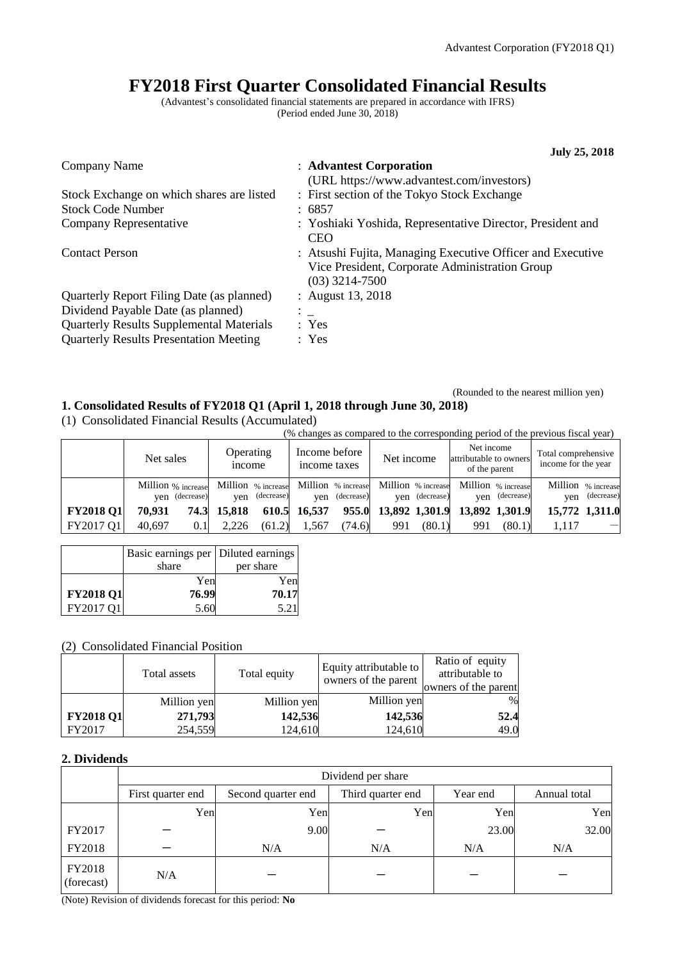# **FY2018 First Quarter Consolidated Financial Results**

(Advantest's consolidated financial statements are prepared in accordance with IFRS) (Period ended June 30, 2018)

|                                                                                 | <b>July 25, 2018</b>                                                                                                             |
|---------------------------------------------------------------------------------|----------------------------------------------------------------------------------------------------------------------------------|
| Company Name                                                                    | : Advantest Corporation<br>(URL https://www.advantest.com/investors)                                                             |
| Stock Exchange on which shares are listed                                       | : First section of the Tokyo Stock Exchange                                                                                      |
| <b>Stock Code Number</b>                                                        | : 6857                                                                                                                           |
| Company Representative                                                          | : Yoshiaki Yoshida, Representative Director, President and<br><b>CEO</b>                                                         |
| <b>Contact Person</b>                                                           | : Atsushi Fujita, Managing Executive Officer and Executive<br>Vice President, Corporate Administration Group<br>$(03)$ 3214-7500 |
| Quarterly Report Filing Date (as planned)<br>Dividend Payable Date (as planned) | : August 13, 2018<br>$\mathbb{Z}^{\mathbb{Z}}$                                                                                   |
| <b>Quarterly Results Supplemental Materials</b>                                 | : Yes                                                                                                                            |
| <b>Quarterly Results Presentation Meeting</b>                                   | : Yes                                                                                                                            |
|                                                                                 |                                                                                                                                  |

## (Rounded to the nearest million yen) **1. Consolidated Results of FY2018 Q1 (April 1, 2018 through June 30, 2018)**

(1) Consolidated Financial Results (Accumulated)

(% changes as compared to the corresponding period of the previous fiscal year)

|                  | Net sales          |                | Operating<br><i>n</i> come |                | Income before<br>income taxes |                | Net income                                               |                | Net income<br>attributable to owners<br>of the parent |                | Total comprehensive<br>income for the year |                |
|------------------|--------------------|----------------|----------------------------|----------------|-------------------------------|----------------|----------------------------------------------------------|----------------|-------------------------------------------------------|----------------|--------------------------------------------|----------------|
|                  | Million % increase | ven (decrease) |                            | yen (decrease) |                               | yen (decrease) | Million % increase Million % increase Million % increase | ven (decrease) | Million % increase                                    | yen (decrease) | Million % increase<br>ven                  | (decrease)     |
| <b>FY2018 Q1</b> | 70.931             | 74.3           | 15.818                     |                | 610.5 16,537                  |                | 955.0 13,892 1,301.9                                     |                | 13,892 1,301.9                                        |                |                                            | 15,772 1,311.0 |
| FY2017 Q1        | 40.697             | $0.1\,$        | 2.226                      | (61.2)         | 1.567                         | (74.6)         | 991                                                      | (80.1)         | 991                                                   | (80.1)         | 1.117                                      |                |

|                  | Basic earnings per   Diluted earnings<br>share | per share |
|------------------|------------------------------------------------|-----------|
|                  | Yen                                            | Yen       |
| <b>FY2018 Q1</b> | 76.99                                          | 70.17     |
| FY2017 O1        | 5.60                                           | 5.2       |

## (2) Consolidated Financial Position

|                  | Total assets | Total equity | Equity attributable to<br>owners of the parent | Ratio of equity<br>attributable to<br>owners of the parent |
|------------------|--------------|--------------|------------------------------------------------|------------------------------------------------------------|
|                  | Million yen  | Million yen  | Million yen                                    | $\frac{0}{0}$                                              |
| <b>FY2018 Q1</b> | 271,793      | 142,536      | 142,536                                        | 52.4                                                       |
| FY2017           | 254,559      | 124,610      | 124,610                                        | 49.0                                                       |

## **2. Dividends**

|                      | Dividend per share |                    |                   |          |              |  |  |  |
|----------------------|--------------------|--------------------|-------------------|----------|--------------|--|--|--|
|                      | First quarter end  | Second quarter end | Third quarter end | Year end | Annual total |  |  |  |
|                      | Yen                | Yen                | Yen               | Yen      | Yen          |  |  |  |
| FY2017               |                    | 9.00               |                   | 23.00    | 32.00        |  |  |  |
| FY2018               |                    | N/A                | N/A               | N/A      | N/A          |  |  |  |
| FY2018<br>(forecast) | N/A                |                    |                   |          |              |  |  |  |

(Note) Revision of dividends forecast for this period: **No**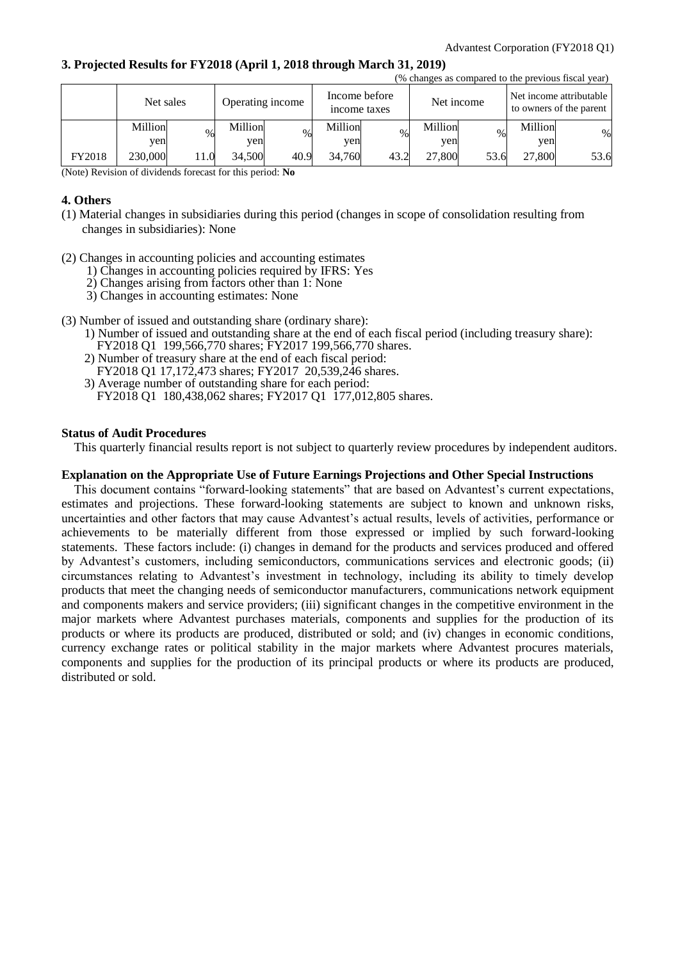## **3. Projected Results for FY2018 (April 1, 2018 through March 31, 2019)**

|        | (% changes as compared to the previous fiscal year) |      |                  |      |                               |      |            |               |         |                                                    |
|--------|-----------------------------------------------------|------|------------------|------|-------------------------------|------|------------|---------------|---------|----------------------------------------------------|
|        | Net sales                                           |      | Operating income |      | Income before<br>income taxes |      | Net income |               |         | Net income attributable<br>to owners of the parent |
|        | Million                                             | $\%$ | Million          | $\%$ | Million                       | %    | Million    | $\frac{0}{0}$ | Million | %                                                  |
|        | yen                                                 |      | yen              |      | yen                           |      | ven        |               | yen     |                                                    |
| FY2018 | 230,000                                             | 11.0 | 34,500           | 40.9 | 34.760                        | 43.2 | 27,800     | 53.6          | 27,800  | 53.6                                               |

(Note) Revision of dividends forecast for this period: **No**

## **4. Others**

- (1) Material changes in subsidiaries during this period (changes in scope of consolidation resulting from changes in subsidiaries): None
- (2) Changes in accounting policies and accounting estimates
	- 1) Changes in accounting policies required by IFRS: Yes
	- 2) Changes arising from factors other than 1: None
	- 3) Changes in accounting estimates: None
- (3) Number of issued and outstanding share (ordinary share):
	- 1) Number of issued and outstanding share at the end of each fiscal period (including treasury share): FY2018 Q1 199,566,770 shares; FY2017 199,566,770 shares.
	- 2) Number of treasury share at the end of each fiscal period: FY2018 Q1 17,172,473 shares; FY2017 20,539,246 shares.
	- 3) Average number of outstanding share for each period:
		- FY2018 Q1 180,438,062 shares; FY2017 Q1 177,012,805 shares.

## **Status of Audit Procedures**

This quarterly financial results report is not subject to quarterly review procedures by independent auditors.

## **Explanation on the Appropriate Use of Future Earnings Projections and Other Special Instructions**

This document contains "forward-looking statements" that are based on Advantest's current expectations, estimates and projections. These forward-looking statements are subject to known and unknown risks, uncertainties and other factors that may cause Advantest's actual results, levels of activities, performance or achievements to be materially different from those expressed or implied by such forward-looking statements. These factors include: (i) changes in demand for the products and services produced and offered by Advantest's customers, including semiconductors, communications services and electronic goods; (ii) circumstances relating to Advantest's investment in technology, including its ability to timely develop products that meet the changing needs of semiconductor manufacturers, communications network equipment and components makers and service providers; (iii) significant changes in the competitive environment in the major markets where Advantest purchases materials, components and supplies for the production of its products or where its products are produced, distributed or sold; and (iv) changes in economic conditions, currency exchange rates or political stability in the major markets where Advantest procures materials, components and supplies for the production of its principal products or where its products are produced, distributed or sold.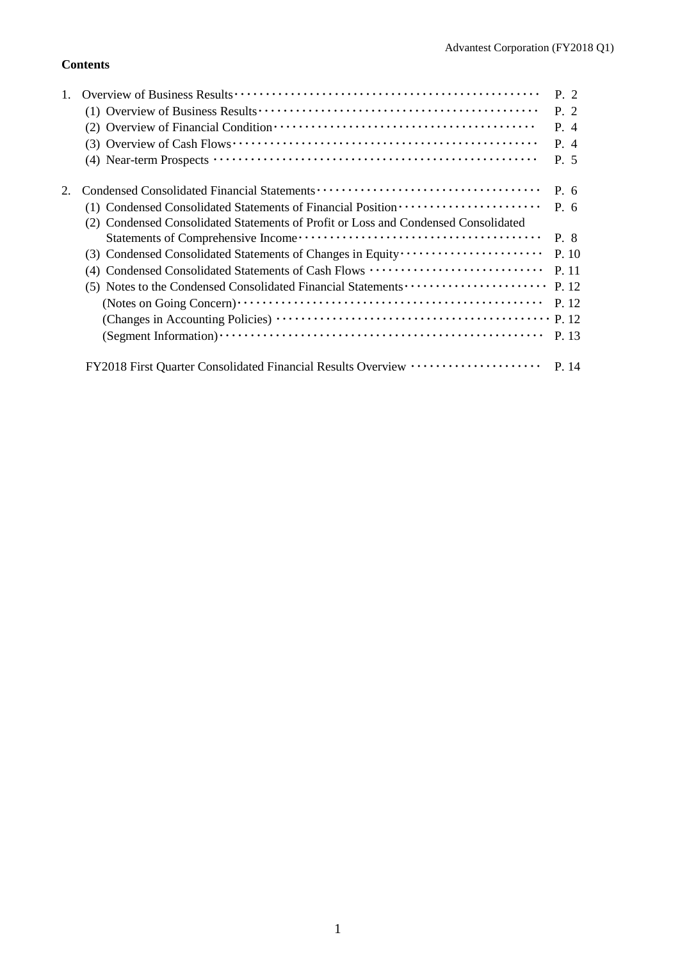## **Contents**

|                                                                                    | P. 2  |
|------------------------------------------------------------------------------------|-------|
|                                                                                    | P. 2  |
|                                                                                    | P. 4  |
|                                                                                    | P. 4  |
|                                                                                    | P. 5  |
|                                                                                    | P. 6  |
| (1) Condensed Consolidated Statements of Financial Position ·····················  | P. 6  |
| (2) Condensed Consolidated Statements of Profit or Loss and Condensed Consolidated |       |
|                                                                                    | P. 8  |
|                                                                                    | P. 10 |
| (4) Condensed Consolidated Statements of Cash Flows                                | P. 11 |
| (5) Notes to the Condensed Consolidated Financial Statements                       | P. 12 |
|                                                                                    | P. 12 |
|                                                                                    | P. 12 |
|                                                                                    | P. 13 |
| FY2018 First Quarter Consolidated Financial Results Overview ····················  | P. 14 |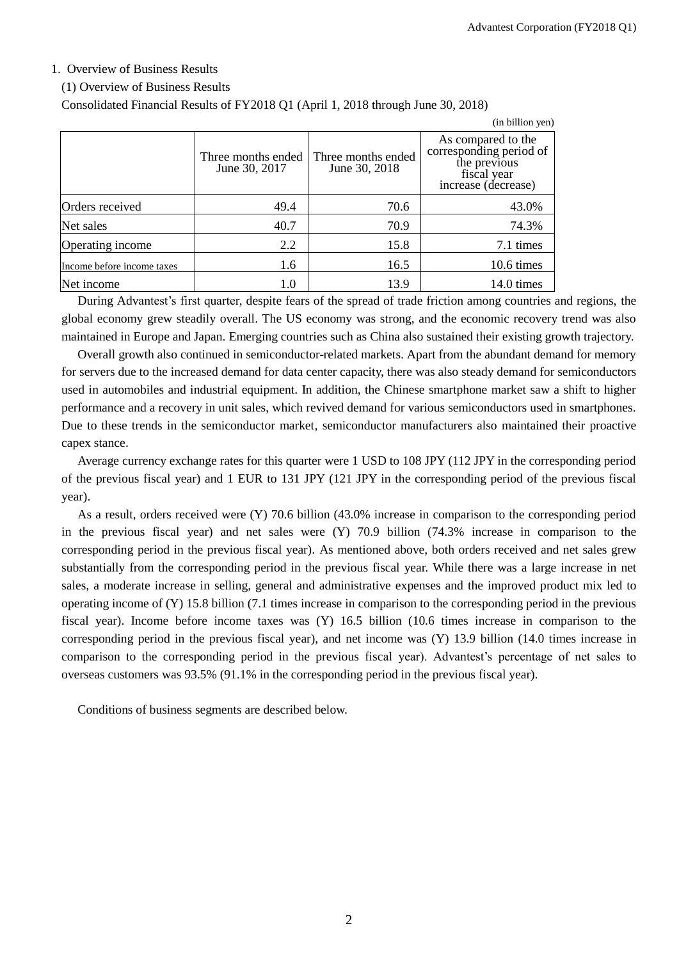## 1. Overview of Business Results

#### (1) Overview of Business Results

Consolidated Financial Results of FY2018 Q1 (April 1, 2018 through June 30, 2018)

|                            |                                     |                                     | (in billion yen)                                                                                    |
|----------------------------|-------------------------------------|-------------------------------------|-----------------------------------------------------------------------------------------------------|
|                            | Three months ended<br>June 30, 2017 | Three months ended<br>June 30, 2018 | As compared to the<br>corresponding period of<br>the previous<br>fiscal year<br>increase (decrease) |
| Orders received            | 49.4                                | 70.6                                | 43.0%                                                                                               |
| Net sales                  | 40.7                                | 70.9                                | 74.3%                                                                                               |
| Operating income           | 2.2                                 | 15.8                                | 7.1 times                                                                                           |
| Income before income taxes | 1.6                                 | 16.5                                | 10.6 times                                                                                          |
| Net income                 | 1.0                                 | 13.9                                | 14.0 times                                                                                          |

During Advantest's first quarter, despite fears of the spread of trade friction among countries and regions, the global economy grew steadily overall. The US economy was strong, and the economic recovery trend was also maintained in Europe and Japan. Emerging countries such as China also sustained their existing growth trajectory.

Overall growth also continued in semiconductor-related markets. Apart from the abundant demand for memory for servers due to the increased demand for data center capacity, there was also steady demand for semiconductors used in automobiles and industrial equipment. In addition, the Chinese smartphone market saw a shift to higher performance and a recovery in unit sales, which revived demand for various semiconductors used in smartphones. Due to these trends in the semiconductor market, semiconductor manufacturers also maintained their proactive capex stance.

Average currency exchange rates for this quarter were 1 USD to 108 JPY (112 JPY in the corresponding period of the previous fiscal year) and 1 EUR to 131 JPY (121 JPY in the corresponding period of the previous fiscal year).

As a result, orders received were (Y) 70.6 billion (43.0% increase in comparison to the corresponding period in the previous fiscal year) and net sales were (Y) 70.9 billion (74.3% increase in comparison to the corresponding period in the previous fiscal year). As mentioned above, both orders received and net sales grew substantially from the corresponding period in the previous fiscal year. While there was a large increase in net sales, a moderate increase in selling, general and administrative expenses and the improved product mix led to operating income of (Y) 15.8 billion (7.1 times increase in comparison to the corresponding period in the previous fiscal year). Income before income taxes was (Y) 16.5 billion (10.6 times increase in comparison to the corresponding period in the previous fiscal year), and net income was (Y) 13.9 billion (14.0 times increase in comparison to the corresponding period in the previous fiscal year). Advantest's percentage of net sales to overseas customers was 93.5% (91.1% in the corresponding period in the previous fiscal year).

Conditions of business segments are described below.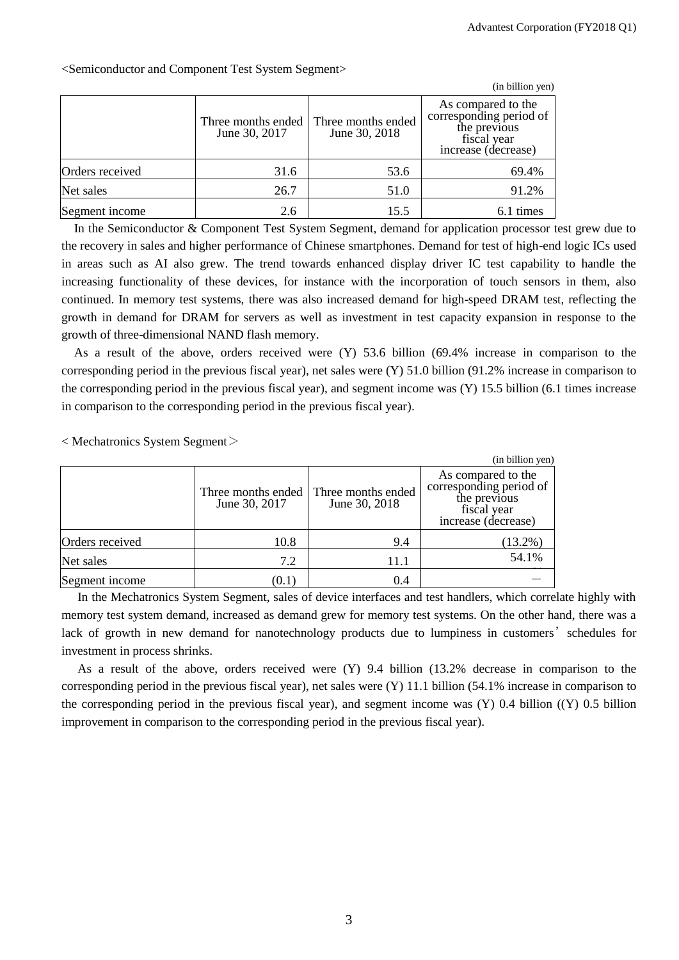|                 |                                     |                                     | (in billion yen)                                                                                    |
|-----------------|-------------------------------------|-------------------------------------|-----------------------------------------------------------------------------------------------------|
|                 | Three months ended<br>June 30, 2017 | Three months ended<br>June 30, 2018 | As compared to the<br>corresponding period of<br>the previous<br>fiscal year<br>increase (decrease) |
| Orders received | 31.6                                | 53.6                                | 69.4%                                                                                               |
| Net sales       | 26.7                                | 51.0                                | 91.2%                                                                                               |
| Segment income  | 2.6                                 | 15.5                                | 6.1 times                                                                                           |

<Semiconductor and Component Test System Segment>

In the Semiconductor & Component Test System Segment, demand for application processor test grew due to the recovery in sales and higher performance of Chinese smartphones. Demand for test of high-end logic ICs used in areas such as AI also grew. The trend towards enhanced display driver IC test capability to handle the increasing functionality of these devices, for instance with the incorporation of touch sensors in them, also continued. In memory test systems, there was also increased demand for high-speed DRAM test, reflecting the growth in demand for DRAM for servers as well as investment in test capacity expansion in response to the growth of three-dimensional NAND flash memory.

As a result of the above, orders received were (Y) 53.6 billion (69.4% increase in comparison to the corresponding period in the previous fiscal year), net sales were (Y) 51.0 billion (91.2% increase in comparison to the corresponding period in the previous fiscal year), and segment income was (Y) 15.5 billion (6.1 times increase in comparison to the corresponding period in the previous fiscal year).

< Mechatronics System Segment>

|                 |                                     |                                     | (in billion yen)                                                                                    |
|-----------------|-------------------------------------|-------------------------------------|-----------------------------------------------------------------------------------------------------|
|                 | Three months ended<br>June 30, 2017 | Three months ended<br>June 30, 2018 | As compared to the<br>corresponding period of<br>the previous<br>fiscal year<br>increase (decrease) |
| Orders received | 10.8                                | 9.4                                 | $(13.2\%)$                                                                                          |
| Net sales       | 7.2                                 | 11.1                                | 54.1%                                                                                               |
| Segment income  | (0.1)                               | 0.4                                 |                                                                                                     |

In the Mechatronics System Segment, sales of device interfaces and test handlers, which correlate highly with memory test system demand, increased as demand grew for memory test systems. On the other hand, there was a lack of growth in new demand for nanotechnology products due to lumpiness in customers' schedules for investment in process shrinks.

As a result of the above, orders received were (Y) 9.4 billion (13.2% decrease in comparison to the corresponding period in the previous fiscal year), net sales were (Y) 11.1 billion (54.1% increase in comparison to the corresponding period in the previous fiscal year), and segment income was (Y) 0.4 billion ((Y) 0.5 billion improvement in comparison to the corresponding period in the previous fiscal year).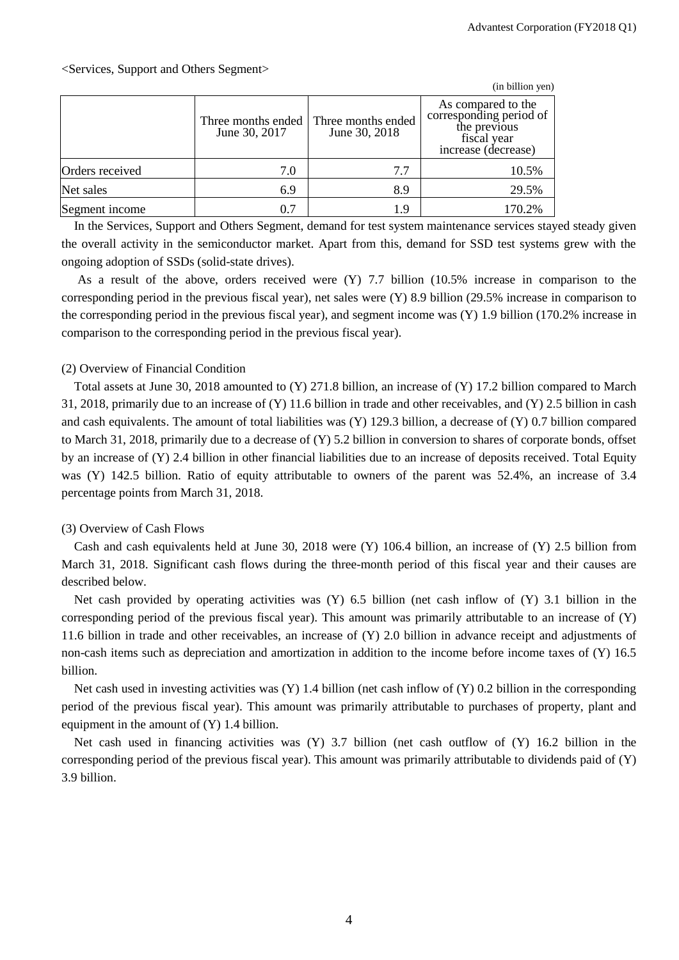|                 |                                     |                                     | (in billion yen)                                                                                    |
|-----------------|-------------------------------------|-------------------------------------|-----------------------------------------------------------------------------------------------------|
|                 | Three months ended<br>June 30, 2017 | Three months ended<br>June 30, 2018 | As compared to the<br>corresponding period of<br>the previous<br>fiscal year<br>increase (decrease) |
| Orders received | 7.0                                 | 7.7                                 | 10.5%                                                                                               |
| Net sales       | 6.9                                 | 8.9                                 | 29.5%                                                                                               |
| Segment income  | 0.7                                 | 19                                  | 170.2%                                                                                              |

In the Services, Support and Others Segment, demand for test system maintenance services stayed steady given the overall activity in the semiconductor market. Apart from this, demand for SSD test systems grew with the ongoing adoption of SSDs (solid-state drives).

As a result of the above, orders received were (Y) 7.7 billion (10.5% increase in comparison to the corresponding period in the previous fiscal year), net sales were (Y) 8.9 billion (29.5% increase in comparison to the corresponding period in the previous fiscal year), and segment income was (Y) 1.9 billion (170.2% increase in comparison to the corresponding period in the previous fiscal year).

## (2) Overview of Financial Condition

Total assets at June 30, 2018 amounted to (Y) 271.8 billion, an increase of (Y) 17.2 billion compared to March 31, 2018, primarily due to an increase of (Y) 11.6 billion in trade and other receivables, and (Y) 2.5 billion in cash and cash equivalents. The amount of total liabilities was (Y) 129.3 billion, a decrease of (Y) 0.7 billion compared to March 31, 2018, primarily due to a decrease of (Y) 5.2 billion in conversion to shares of corporate bonds, offset by an increase of (Y) 2.4 billion in other financial liabilities due to an increase of deposits received. Total Equity was (Y) 142.5 billion. Ratio of equity attributable to owners of the parent was 52.4%, an increase of 3.4 percentage points from March 31, 2018.

## (3) Overview of Cash Flows

Cash and cash equivalents held at June 30, 2018 were (Y) 106.4 billion, an increase of (Y) 2.5 billion from March 31, 2018. Significant cash flows during the three-month period of this fiscal year and their causes are described below.

Net cash provided by operating activities was  $(Y)$  6.5 billion (net cash inflow of  $(Y)$  3.1 billion in the corresponding period of the previous fiscal year). This amount was primarily attributable to an increase of (Y) 11.6 billion in trade and other receivables, an increase of (Y) 2.0 billion in advance receipt and adjustments of non-cash items such as depreciation and amortization in addition to the income before income taxes of (Y) 16.5 billion.

Net cash used in investing activities was (Y) 1.4 billion (net cash inflow of (Y) 0.2 billion in the corresponding period of the previous fiscal year). This amount was primarily attributable to purchases of property, plant and equipment in the amount of  $(Y)$  1.4 billion.

Net cash used in financing activities was (Y) 3.7 billion (net cash outflow of (Y) 16.2 billion in the corresponding period of the previous fiscal year). This amount was primarily attributable to dividends paid of (Y) 3.9 billion.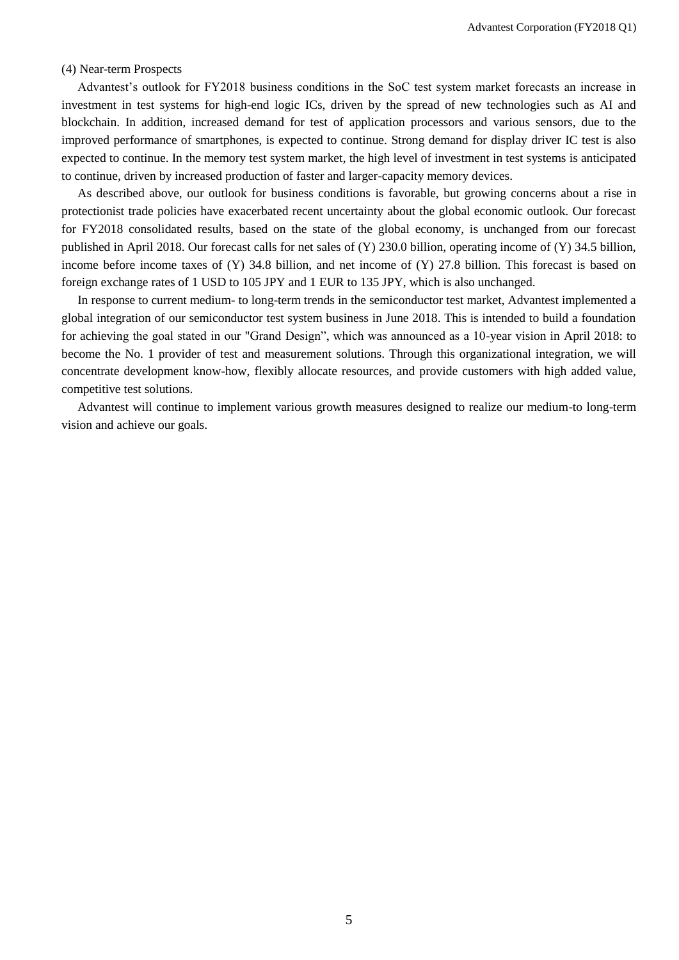#### (4) Near-term Prospects

Advantest's outlook for FY2018 business conditions in the SoC test system market forecasts an increase in investment in test systems for high-end logic ICs, driven by the spread of new technologies such as AI and blockchain. In addition, increased demand for test of application processors and various sensors, due to the improved performance of smartphones, is expected to continue. Strong demand for display driver IC test is also expected to continue. In the memory test system market, the high level of investment in test systems is anticipated to continue, driven by increased production of faster and larger-capacity memory devices.

As described above, our outlook for business conditions is favorable, but growing concerns about a rise in protectionist trade policies have exacerbated recent uncertainty about the global economic outlook. Our forecast for FY2018 consolidated results, based on the state of the global economy, is unchanged from our forecast published in April 2018. Our forecast calls for net sales of (Y) 230.0 billion, operating income of (Y) 34.5 billion, income before income taxes of (Y) 34.8 billion, and net income of (Y) 27.8 billion. This forecast is based on foreign exchange rates of 1 USD to 105 JPY and 1 EUR to 135 JPY, which is also unchanged.

In response to current medium- to long-term trends in the semiconductor test market, Advantest implemented a global integration of our semiconductor test system business in June 2018. This is intended to build a foundation for achieving the goal stated in our "Grand Design", which was announced as a 10-year vision in April 2018: to become the No. 1 provider of test and measurement solutions. Through this organizational integration, we will concentrate development know-how, flexibly allocate resources, and provide customers with high added value, competitive test solutions.

Advantest will continue to implement various growth measures designed to realize our medium-to long-term vision and achieve our goals.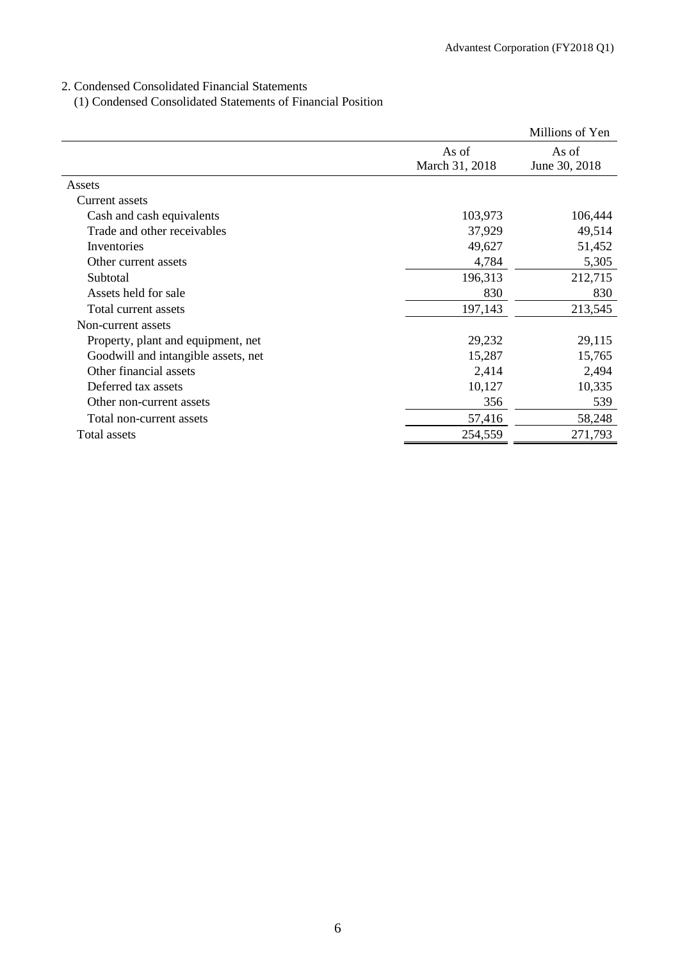## 2. Condensed Consolidated Financial Statements

(1) Condensed Consolidated Statements of Financial Position

|                                     |                         | Millions of Yen        |
|-------------------------------------|-------------------------|------------------------|
|                                     | As of<br>March 31, 2018 | As of<br>June 30, 2018 |
| Assets                              |                         |                        |
| Current assets                      |                         |                        |
| Cash and cash equivalents           | 103,973                 | 106,444                |
| Trade and other receivables         | 37,929                  | 49,514                 |
| Inventories                         | 49,627                  | 51,452                 |
| Other current assets                | 4,784                   | 5,305                  |
| Subtotal                            | 196,313                 | 212,715                |
| Assets held for sale                | 830                     | 830                    |
| Total current assets                | 197,143                 | 213,545                |
| Non-current assets                  |                         |                        |
| Property, plant and equipment, net  | 29,232                  | 29,115                 |
| Goodwill and intangible assets, net | 15,287                  | 15,765                 |
| Other financial assets              | 2,414                   | 2,494                  |
| Deferred tax assets                 | 10,127                  | 10,335                 |
| Other non-current assets            | 356                     | 539                    |
| Total non-current assets            | 57,416                  | 58,248                 |
| Total assets                        | 254,559                 | 271,793                |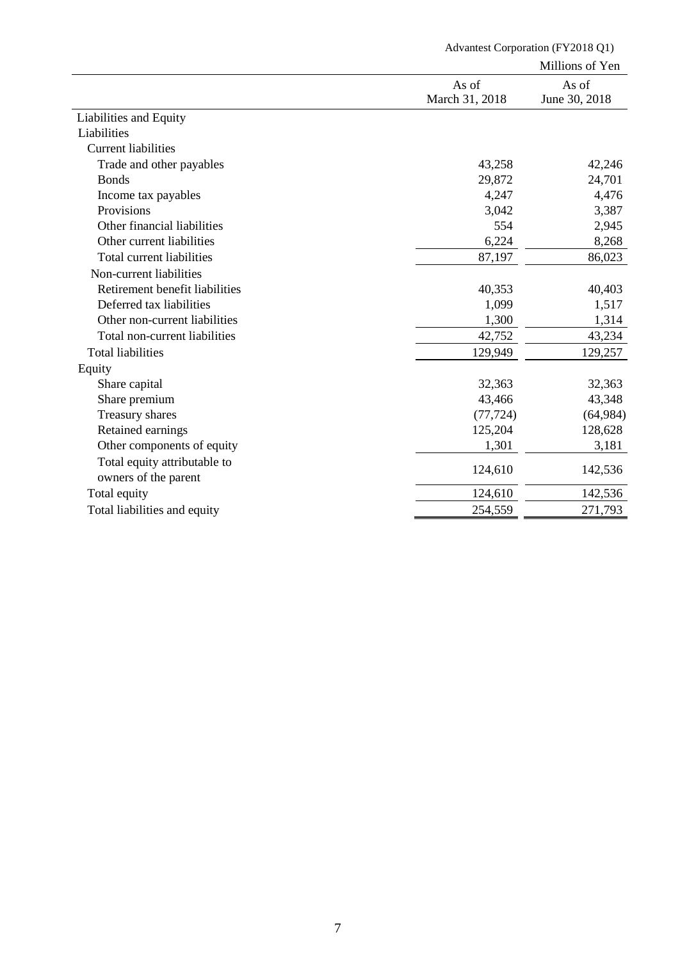|                                |                | Millions of Yen |
|--------------------------------|----------------|-----------------|
|                                | As of          | As of           |
|                                | March 31, 2018 | June 30, 2018   |
| Liabilities and Equity         |                |                 |
| Liabilities                    |                |                 |
| <b>Current liabilities</b>     |                |                 |
| Trade and other payables       | 43,258         | 42,246          |
| <b>Bonds</b>                   | 29,872         | 24,701          |
| Income tax payables            | 4,247          | 4,476           |
| Provisions                     | 3,042          | 3,387           |
| Other financial liabilities    | 554            | 2,945           |
| Other current liabilities      | 6,224          | 8,268           |
| Total current liabilities      | 87,197         | 86,023          |
| Non-current liabilities        |                |                 |
| Retirement benefit liabilities | 40,353         | 40,403          |
| Deferred tax liabilities       | 1,099          | 1,517           |
| Other non-current liabilities  | 1,300          | 1,314           |
| Total non-current liabilities  | 42,752         | 43,234          |
| <b>Total liabilities</b>       | 129,949        | 129,257         |
| Equity                         |                |                 |
| Share capital                  | 32,363         | 32,363          |
| Share premium                  | 43,466         | 43,348          |
| Treasury shares                | (77, 724)      | (64, 984)       |
| Retained earnings              | 125,204        | 128,628         |
| Other components of equity     | 1,301          | 3,181           |
| Total equity attributable to   |                |                 |
| owners of the parent           | 124,610        | 142,536         |
| Total equity                   | 124,610        | 142,536         |
| Total liabilities and equity   | 254,559        | 271,793         |

Advantest Corporation (FY2018 Q1)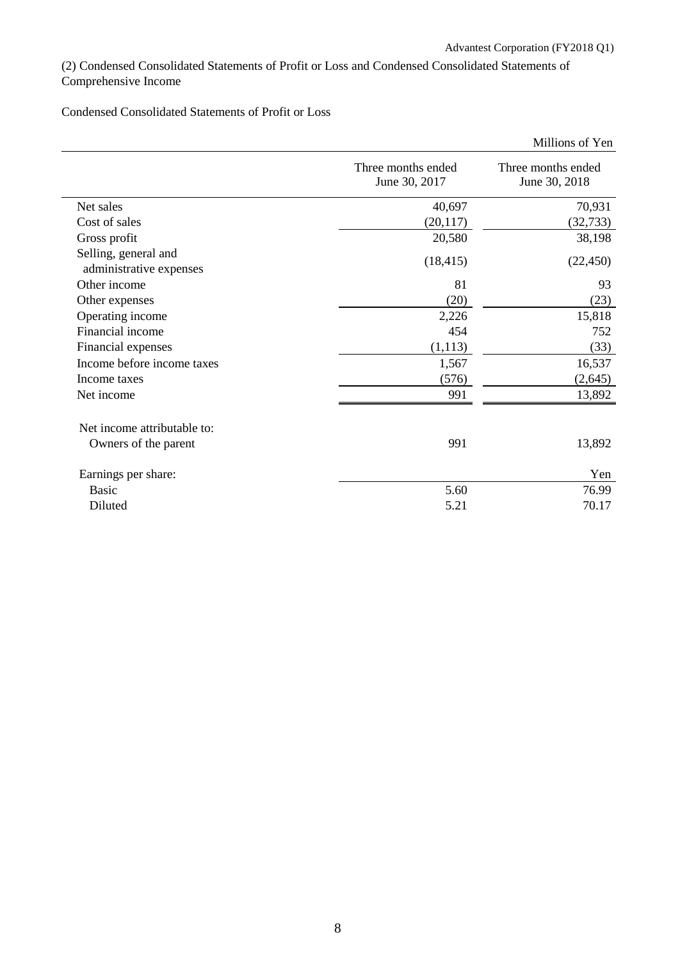(2) Condensed Consolidated Statements of Profit or Loss and Condensed Consolidated Statements of Comprehensive Income

Condensed Consolidated Statements of Profit or Loss

|                                                 |                                     | Millions of Yen                     |
|-------------------------------------------------|-------------------------------------|-------------------------------------|
|                                                 | Three months ended<br>June 30, 2017 | Three months ended<br>June 30, 2018 |
| Net sales                                       | 40,697                              | 70,931                              |
| Cost of sales                                   | (20, 117)                           | (32, 733)                           |
| Gross profit                                    | 20,580                              | 38,198                              |
| Selling, general and<br>administrative expenses | (18, 415)                           | (22, 450)                           |
| Other income                                    | 81                                  | 93                                  |
| Other expenses                                  | (20)                                | (23)                                |
| Operating income                                | 2,226                               | 15,818                              |
| Financial income                                | 454                                 | 752                                 |
| Financial expenses                              | (1,113)                             | (33)                                |
| Income before income taxes                      | 1,567                               | 16,537                              |
| Income taxes                                    | (576)                               | (2,645)                             |
| Net income                                      | 991                                 | 13,892                              |
| Net income attributable to:                     |                                     |                                     |
| Owners of the parent                            | 991                                 | 13,892                              |
| Earnings per share:                             |                                     | Yen                                 |
| <b>Basic</b>                                    | 5.60                                | 76.99                               |
| Diluted                                         | 5.21                                | 70.17                               |
|                                                 |                                     |                                     |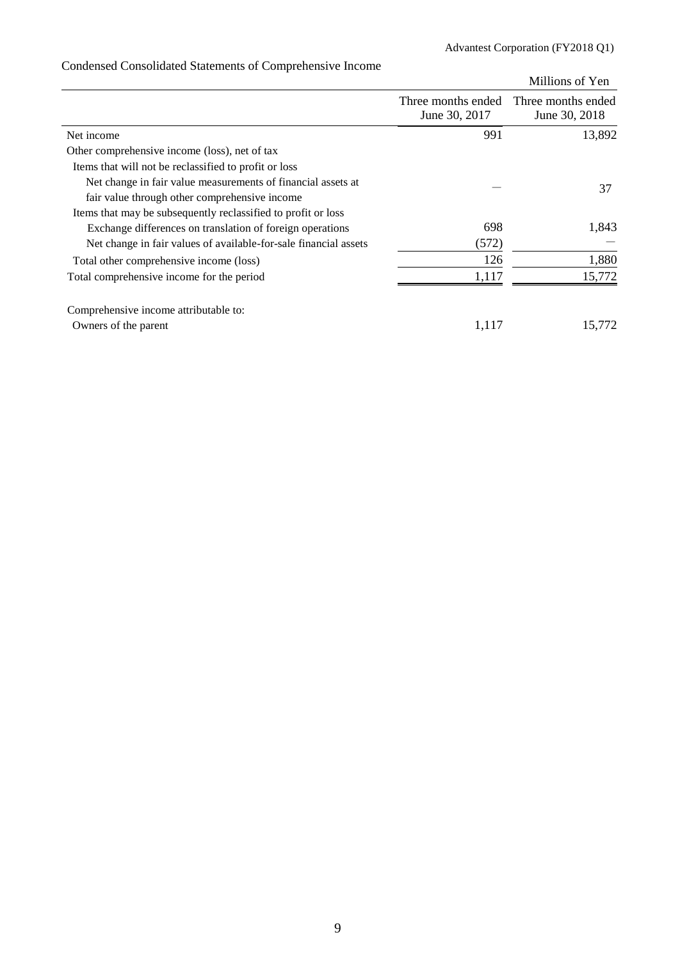|                                                                  |                                     | Millions of Yen                     |
|------------------------------------------------------------------|-------------------------------------|-------------------------------------|
|                                                                  | Three months ended<br>June 30, 2017 | Three months ended<br>June 30, 2018 |
| Net income                                                       | 991                                 | 13,892                              |
| Other comprehensive income (loss), net of tax                    |                                     |                                     |
| Items that will not be reclassified to profit or loss            |                                     |                                     |
| Net change in fair value measurements of financial assets at     |                                     | 37                                  |
| fair value through other comprehensive income                    |                                     |                                     |
| Items that may be subsequently reclassified to profit or loss    |                                     |                                     |
| Exchange differences on translation of foreign operations        | 698                                 | 1,843                               |
| Net change in fair values of available-for-sale financial assets | (572)                               |                                     |
| Total other comprehensive income (loss)                          | 126                                 | 1,880                               |
| Total comprehensive income for the period                        | 1,117                               | 15,772                              |
| Comprehensive income attributable to:                            |                                     |                                     |
| Owners of the parent                                             | 1,117                               | 15,772                              |

# Condensed Consolidated Statements of Comprehensive Income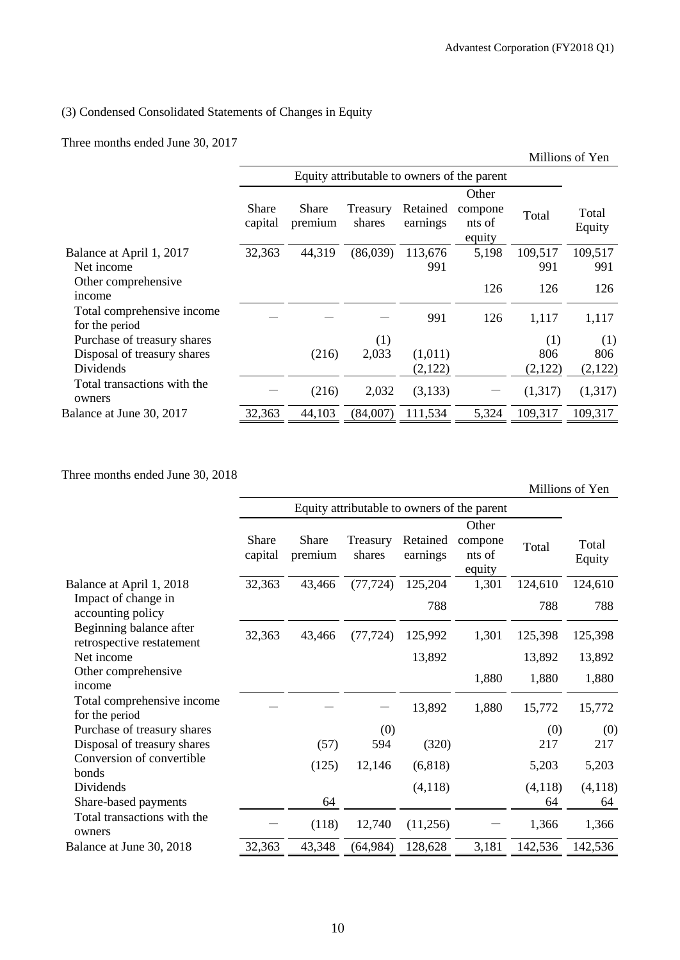## (3) Condensed Consolidated Statements of Changes in Equity

Three months ended June 30, 2017

|                                              |                  |                                             |                    |                      |                                      |         | Millions of Yen |
|----------------------------------------------|------------------|---------------------------------------------|--------------------|----------------------|--------------------------------------|---------|-----------------|
|                                              |                  | Equity attributable to owners of the parent |                    |                      |                                      |         |                 |
|                                              | Share<br>capital | Share<br>premium                            | Treasury<br>shares | Retained<br>earnings | Other<br>compone<br>nts of<br>equity | Total   | Total<br>Equity |
| Balance at April 1, 2017                     | 32,363           | 44,319                                      | (86,039)           | 113,676              | 5,198                                | 109,517 | 109,517         |
| Net income                                   |                  |                                             |                    | 991                  |                                      | 991     | 991             |
| Other comprehensive<br>income                |                  |                                             |                    |                      | 126                                  | 126     | 126             |
| Total comprehensive income<br>for the period |                  |                                             |                    | 991                  | 126                                  | 1,117   | 1,117           |
| Purchase of treasury shares                  |                  |                                             | (1)                |                      |                                      | (1)     | (1)             |
| Disposal of treasury shares                  |                  | (216)                                       | 2,033              | (1,011)              |                                      | 806     | 806             |
| Dividends                                    |                  |                                             |                    | (2,122)              |                                      | (2,122) | (2,122)         |
| Total transactions with the<br>owners        |                  | (216)                                       | 2,032              | (3,133)              |                                      | (1,317) | (1,317)         |
| Balance at June 30, 2017                     | 32,363           | 44,103                                      | (84,007)           | 111,534              | 5,324                                | 109,317 | 109,317         |

Three months ended June 30, 2018

|                                                      |                  |                  |                    |                                             |                                      |         | Millions of Yen |
|------------------------------------------------------|------------------|------------------|--------------------|---------------------------------------------|--------------------------------------|---------|-----------------|
|                                                      |                  |                  |                    | Equity attributable to owners of the parent |                                      |         |                 |
|                                                      | Share<br>capital | Share<br>premium | Treasury<br>shares | Retained<br>earnings                        | Other<br>compone<br>nts of<br>equity | Total   | Total<br>Equity |
| Balance at April 1, 2018                             | 32,363           | 43,466           | (77, 724)          | 125,204                                     | 1,301                                | 124,610 | 124,610         |
| Impact of change in<br>accounting policy             |                  |                  |                    | 788                                         |                                      | 788     | 788             |
| Beginning balance after<br>retrospective restatement | 32,363           | 43,466           | (77, 724)          | 125,992                                     | 1,301                                | 125,398 | 125,398         |
| Net income                                           |                  |                  |                    | 13,892                                      |                                      | 13,892  | 13,892          |
| Other comprehensive<br>income                        |                  |                  |                    |                                             | 1,880                                | 1,880   | 1,880           |
| Total comprehensive income<br>for the period         |                  |                  |                    | 13,892                                      | 1,880                                | 15,772  | 15,772          |
| Purchase of treasury shares                          |                  |                  | (0)                |                                             |                                      | (0)     | (0)             |
| Disposal of treasury shares                          |                  | (57)             | 594                | (320)                                       |                                      | 217     | 217             |
| Conversion of convertible<br>bonds                   |                  | (125)            | 12,146             | (6, 818)                                    |                                      | 5,203   | 5,203           |
| Dividends                                            |                  |                  |                    | (4,118)                                     |                                      | (4,118) | (4,118)         |
| Share-based payments                                 |                  | 64               |                    |                                             |                                      | 64      | 64              |
| Total transactions with the<br>owners                |                  | (118)            | 12,740             | (11,256)                                    |                                      | 1,366   | 1,366           |
| Balance at June 30, 2018                             | 32,363           | 43,348           | (64, 984)          | 128,628                                     | 3,181                                | 142,536 | 142,536         |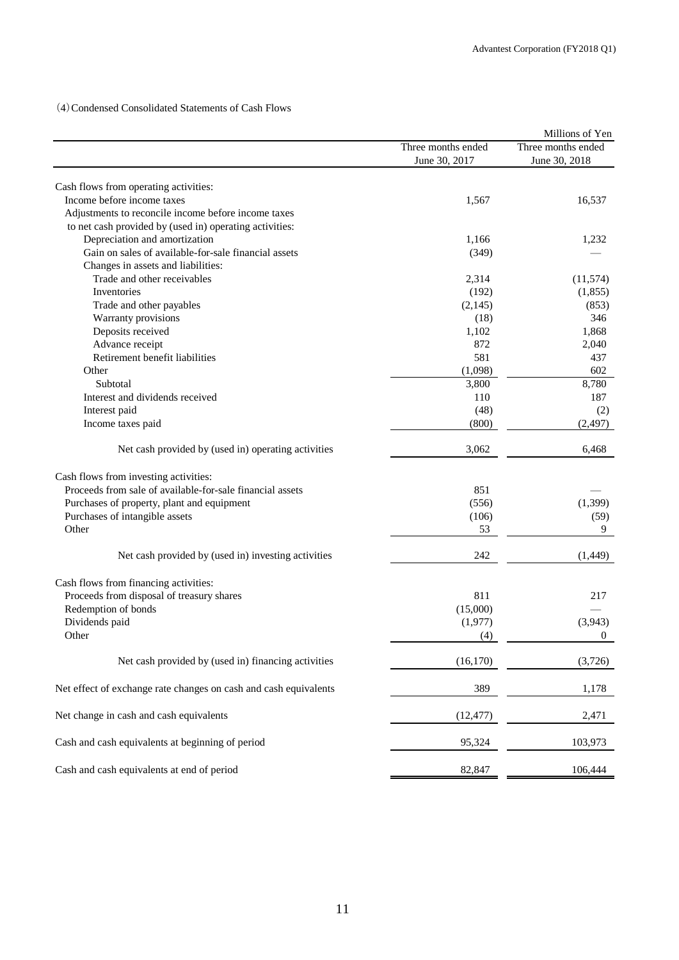(4)Condensed Consolidated Statements of Cash Flows

|                                                                                    |                    | Millions of Yen    |
|------------------------------------------------------------------------------------|--------------------|--------------------|
|                                                                                    | Three months ended | Three months ended |
|                                                                                    | June 30, 2017      | June 30, 2018      |
| Cash flows from operating activities:                                              |                    |                    |
| Income before income taxes                                                         | 1,567              | 16,537             |
| Adjustments to reconcile income before income taxes                                |                    |                    |
| to net cash provided by (used in) operating activities:                            |                    |                    |
| Depreciation and amortization                                                      | 1,166              | 1,232              |
| Gain on sales of available-for-sale financial assets                               | (349)              |                    |
| Changes in assets and liabilities:                                                 |                    |                    |
| Trade and other receivables                                                        | 2,314              | (11, 574)          |
| Inventories                                                                        | (192)              | (1,855)            |
| Trade and other payables                                                           | (2,145)            | (853)              |
| Warranty provisions                                                                | (18)               | 346                |
| Deposits received                                                                  | 1,102              | 1,868              |
| Advance receipt                                                                    | 872                | 2,040              |
| Retirement benefit liabilities                                                     | 581                | 437                |
|                                                                                    |                    |                    |
| Other                                                                              | (1,098)            | 602                |
| Subtotal                                                                           | 3,800              | 8,780              |
| Interest and dividends received                                                    | 110                | 187                |
| Interest paid                                                                      | (48)               | (2)                |
| Income taxes paid                                                                  | (800)              | (2, 497)           |
| Net cash provided by (used in) operating activities                                | 3,062              | 6,468              |
|                                                                                    |                    |                    |
| Cash flows from investing activities:                                              |                    |                    |
| Proceeds from sale of available-for-sale financial assets                          | 851                |                    |
| Purchases of property, plant and equipment                                         | (556)              | (1, 399)           |
| Purchases of intangible assets                                                     | (106)              | (59)               |
| Other                                                                              | 53                 | 9                  |
| Net cash provided by (used in) investing activities                                | 242                | (1, 449)           |
|                                                                                    |                    |                    |
| Cash flows from financing activities:<br>Proceeds from disposal of treasury shares | 811                | 217                |
|                                                                                    | (15,000)           |                    |
| Redemption of bonds<br>Dividends paid                                              | (1,977)            | (3,943)            |
| Other                                                                              |                    |                    |
|                                                                                    | (4)                | $\boldsymbol{0}$   |
| Net cash provided by (used in) financing activities                                | (16, 170)          | (3,726)            |
| Net effect of exchange rate changes on cash and cash equivalents                   | 389                | 1,178              |
| Net change in cash and cash equivalents                                            | (12, 477)          | 2,471              |
| Cash and cash equivalents at beginning of period                                   | 95,324             | 103,973            |
| Cash and cash equivalents at end of period                                         | 82,847             | 106,444            |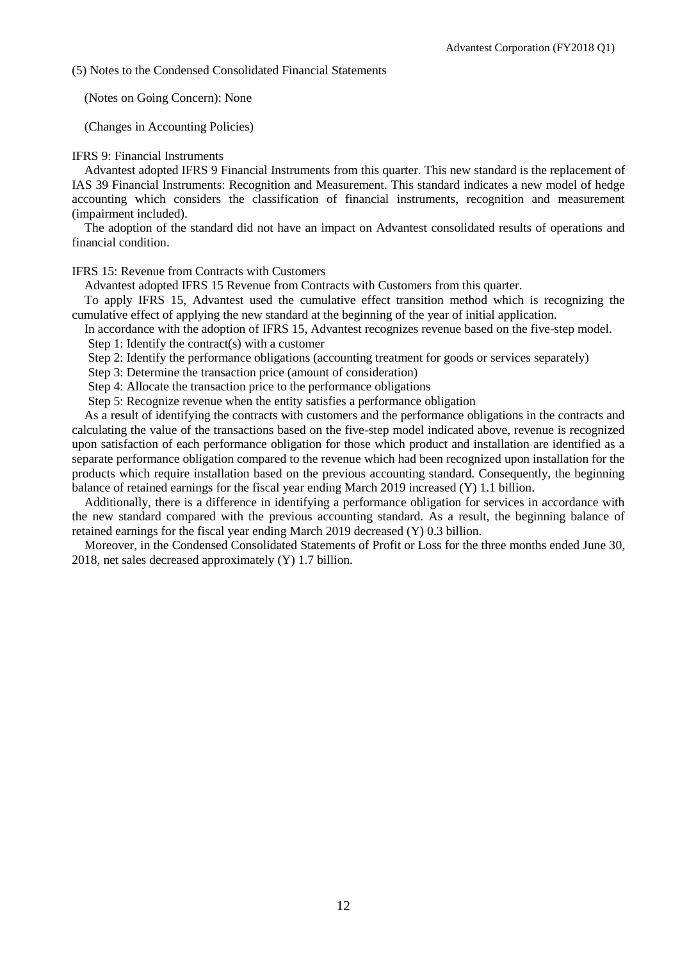(5) Notes to the Condensed Consolidated Financial Statements

(Notes on Going Concern): None

(Changes in Accounting Policies)

## IFRS 9: Financial Instruments

Advantest adopted IFRS 9 Financial Instruments from this quarter. This new standard is the replacement of IAS 39 Financial Instruments: Recognition and Measurement. This standard indicates a new model of hedge accounting which considers the classification of financial instruments, recognition and measurement (impairment included).

The adoption of the standard did not have an impact on Advantest consolidated results of operations and financial condition.

## IFRS 15: Revenue from Contracts with Customers

Advantest adopted IFRS 15 Revenue from Contracts with Customers from this quarter.

To apply IFRS 15, Advantest used the cumulative effect transition method which is recognizing the cumulative effect of applying the new standard at the beginning of the year of initial application.

In accordance with the adoption of IFRS 15, Advantest recognizes revenue based on the five-step model.

Step 1: Identify the contract(s) with a customer

Step 2: Identify the performance obligations (accounting treatment for goods or services separately)

Step 3: Determine the transaction price (amount of consideration)

Step 4: Allocate the transaction price to the performance obligations

Step 5: Recognize revenue when the entity satisfies a performance obligation

As a result of identifying the contracts with customers and the performance obligations in the contracts and calculating the value of the transactions based on the five-step model indicated above, revenue is recognized upon satisfaction of each performance obligation for those which product and installation are identified as a separate performance obligation compared to the revenue which had been recognized upon installation for the products which require installation based on the previous accounting standard. Consequently, the beginning balance of retained earnings for the fiscal year ending March 2019 increased (Y) 1.1 billion.

Additionally, there is a difference in identifying a performance obligation for services in accordance with the new standard compared with the previous accounting standard. As a result, the beginning balance of retained earnings for the fiscal year ending March 2019 decreased (Y) 0.3 billion.

Moreover, in the Condensed Consolidated Statements of Profit or Loss for the three months ended June 30, 2018, net sales decreased approximately (Y) 1.7 billion.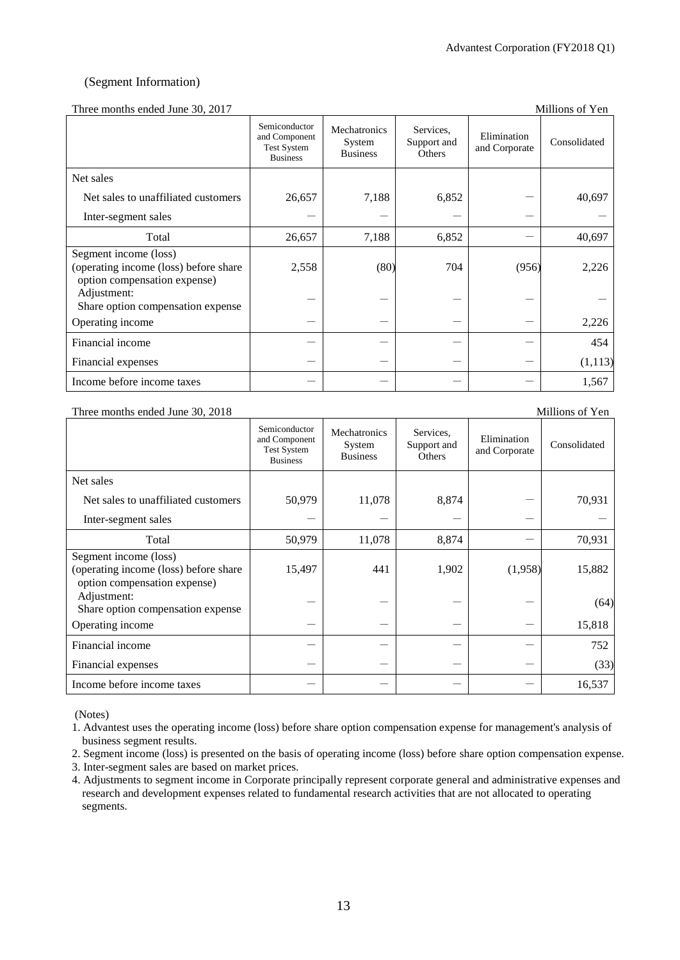## (Segment Information)

## Three months ended June 30, 2017

| Three months ended sance bo, 2017                                                              |                                                                         |                                           |                                    |                              |              |
|------------------------------------------------------------------------------------------------|-------------------------------------------------------------------------|-------------------------------------------|------------------------------------|------------------------------|--------------|
|                                                                                                | Semiconductor<br>and Component<br><b>Test System</b><br><b>Business</b> | Mechatronics<br>System<br><b>Business</b> | Services,<br>Support and<br>Others | Elimination<br>and Corporate | Consolidated |
| Net sales                                                                                      |                                                                         |                                           |                                    |                              |              |
| Net sales to unaffiliated customers                                                            | 26,657                                                                  | 7,188                                     | 6,852                              |                              | 40,697       |
| Inter-segment sales                                                                            |                                                                         |                                           |                                    |                              |              |
| Total                                                                                          | 26,657                                                                  | 7,188                                     | 6,852                              |                              | 40,697       |
| Segment income (loss)<br>(operating income (loss) before share<br>option compensation expense) | 2,558                                                                   | (80)                                      | 704                                | (956)                        | 2,226        |
| Adjustment:<br>Share option compensation expense                                               |                                                                         |                                           |                                    |                              |              |
| Operating income                                                                               |                                                                         |                                           |                                    |                              | 2,226        |
| Financial income                                                                               |                                                                         |                                           |                                    |                              | 454          |
| Financial expenses                                                                             |                                                                         |                                           |                                    |                              | (1,113)      |
| Income before income taxes                                                                     |                                                                         |                                           |                                    |                              | 1,567        |

### Three months ended June 30, 2018 Millions of Yen

|                                                                                                | Semiconductor<br>and Component<br><b>Test System</b><br><b>Business</b> | Mechatronics<br>System<br><b>Business</b> | Services,<br>Support and<br>Others | Elimination<br>and Corporate | Consolidated |
|------------------------------------------------------------------------------------------------|-------------------------------------------------------------------------|-------------------------------------------|------------------------------------|------------------------------|--------------|
| Net sales                                                                                      |                                                                         |                                           |                                    |                              |              |
| Net sales to unaffiliated customers                                                            | 50,979                                                                  | 11,078                                    | 8,874                              |                              | 70,931       |
| Inter-segment sales                                                                            |                                                                         |                                           |                                    |                              |              |
| Total                                                                                          | 50,979                                                                  | 11,078                                    | 8,874                              |                              | 70,931       |
| Segment income (loss)<br>(operating income (loss) before share<br>option compensation expense) | 15,497                                                                  | 441                                       | 1,902                              | (1,958)                      | 15,882       |
| Adjustment:<br>Share option compensation expense                                               |                                                                         |                                           |                                    |                              | (64)         |
| Operating income                                                                               |                                                                         |                                           |                                    |                              | 15,818       |
| Financial income                                                                               |                                                                         |                                           |                                    |                              | 752          |
| Financial expenses                                                                             |                                                                         |                                           |                                    |                              | (33)         |
| Income before income taxes                                                                     |                                                                         |                                           |                                    |                              | 16,537       |

(Notes)

1. Advantest uses the operating income (loss) before share option compensation expense for management's analysis of business segment results.

2. Segment income (loss) is presented on the basis of operating income (loss) before share option compensation expense.

- 3. Inter-segment sales are based on market prices.
- 4. Adjustments to segment income in Corporate principally represent corporate general and administrative expenses and research and development expenses related to fundamental research activities that are not allocated to operating segments.